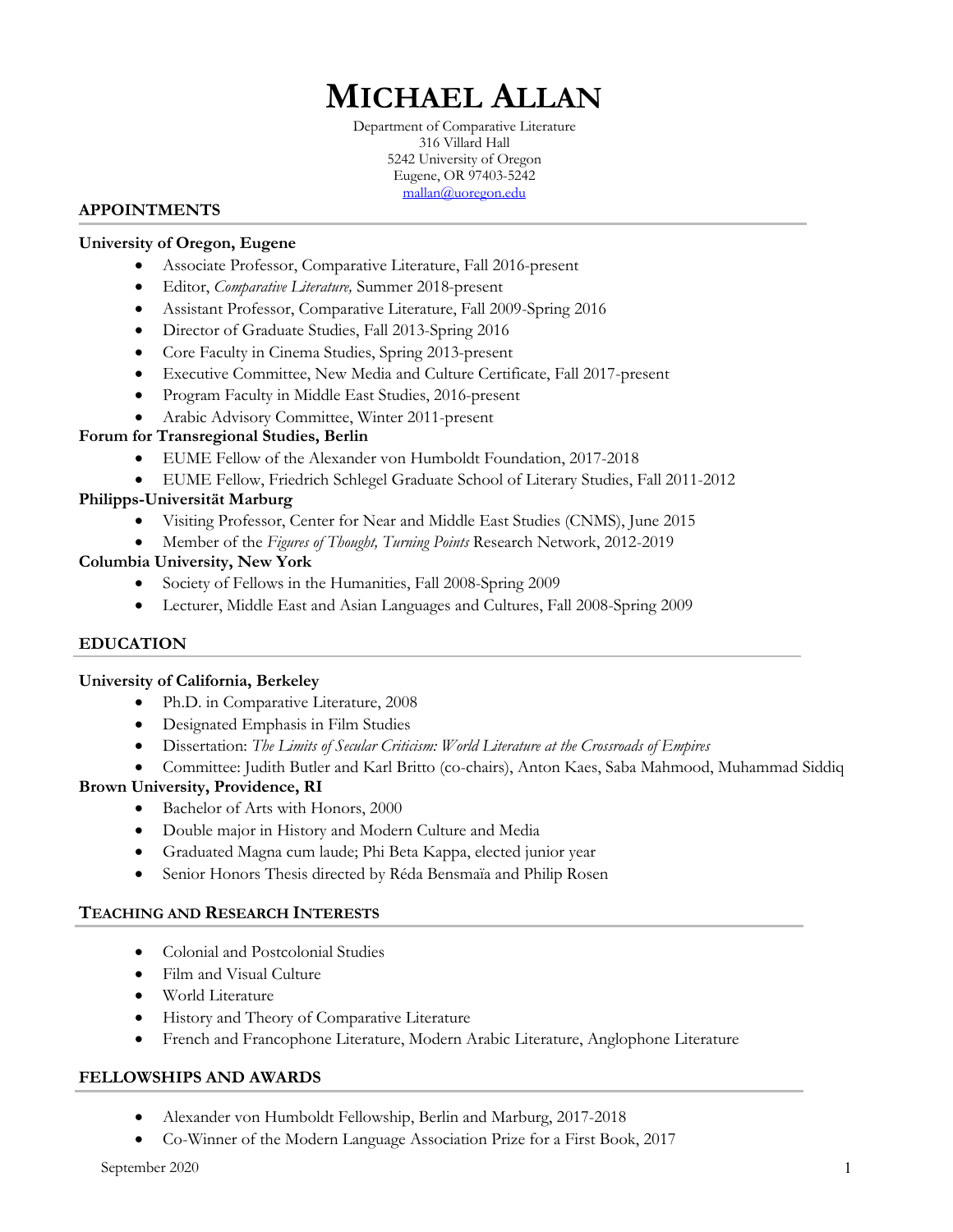# **MICHAEL ALLAN**

Department of Comparative Literature 316 Villard Hall 5242 University of Oregon Eugene, OR 97403-5242 mallan@uoregon.edu

### **APPOINTMENTS**

### **University of Oregon, Eugene**

- Associate Professor, Comparative Literature, Fall 2016-present
- Editor, *Comparative Literature,* Summer 2018-present
- Assistant Professor, Comparative Literature, Fall 2009-Spring 2016
- Director of Graduate Studies, Fall 2013-Spring 2016
- Core Faculty in Cinema Studies, Spring 2013-present
- Executive Committee, New Media and Culture Certificate, Fall 2017-present
- Program Faculty in Middle East Studies, 2016-present
- Arabic Advisory Committee, Winter 2011-present

#### **Forum for Transregional Studies, Berlin**

- EUME Fellow of the Alexander von Humboldt Foundation, 2017-2018
- EUME Fellow, Friedrich Schlegel Graduate School of Literary Studies, Fall 2011-2012

## **Philipps-Universität Marburg**

- Visiting Professor, Center for Near and Middle East Studies (CNMS), June 2015
- Member of the *Figures of Thought, Turning Points* Research Network, 2012-2019

#### **Columbia University, New York**

- Society of Fellows in the Humanities, Fall 2008-Spring 2009
- Lecturer, Middle East and Asian Languages and Cultures, Fall 2008-Spring 2009

## **EDUCATION**

#### **University of California, Berkeley**

- Ph.D. in Comparative Literature, 2008
- Designated Emphasis in Film Studies
- Dissertation: *The Limits of Secular Criticism: World Literature at the Crossroads of Empires*
- Committee: Judith Butler and Karl Britto (co-chairs), Anton Kaes, Saba Mahmood, Muhammad Siddiq

#### **Brown University, Providence, RI**

- Bachelor of Arts with Honors, 2000
- Double major in History and Modern Culture and Media
- Graduated Magna cum laude; Phi Beta Kappa, elected junior year
- Senior Honors Thesis directed by Réda Bensmaïa and Philip Rosen

#### **TEACHING AND RESEARCH INTERESTS**

- Colonial and Postcolonial Studies
- Film and Visual Culture
- World Literature
- History and Theory of Comparative Literature
- French and Francophone Literature, Modern Arabic Literature, Anglophone Literature

#### **FELLOWSHIPS AND AWARDS**

- Alexander von Humboldt Fellowship, Berlin and Marburg, 2017-2018
- Co-Winner of the Modern Language Association Prize for a First Book, 2017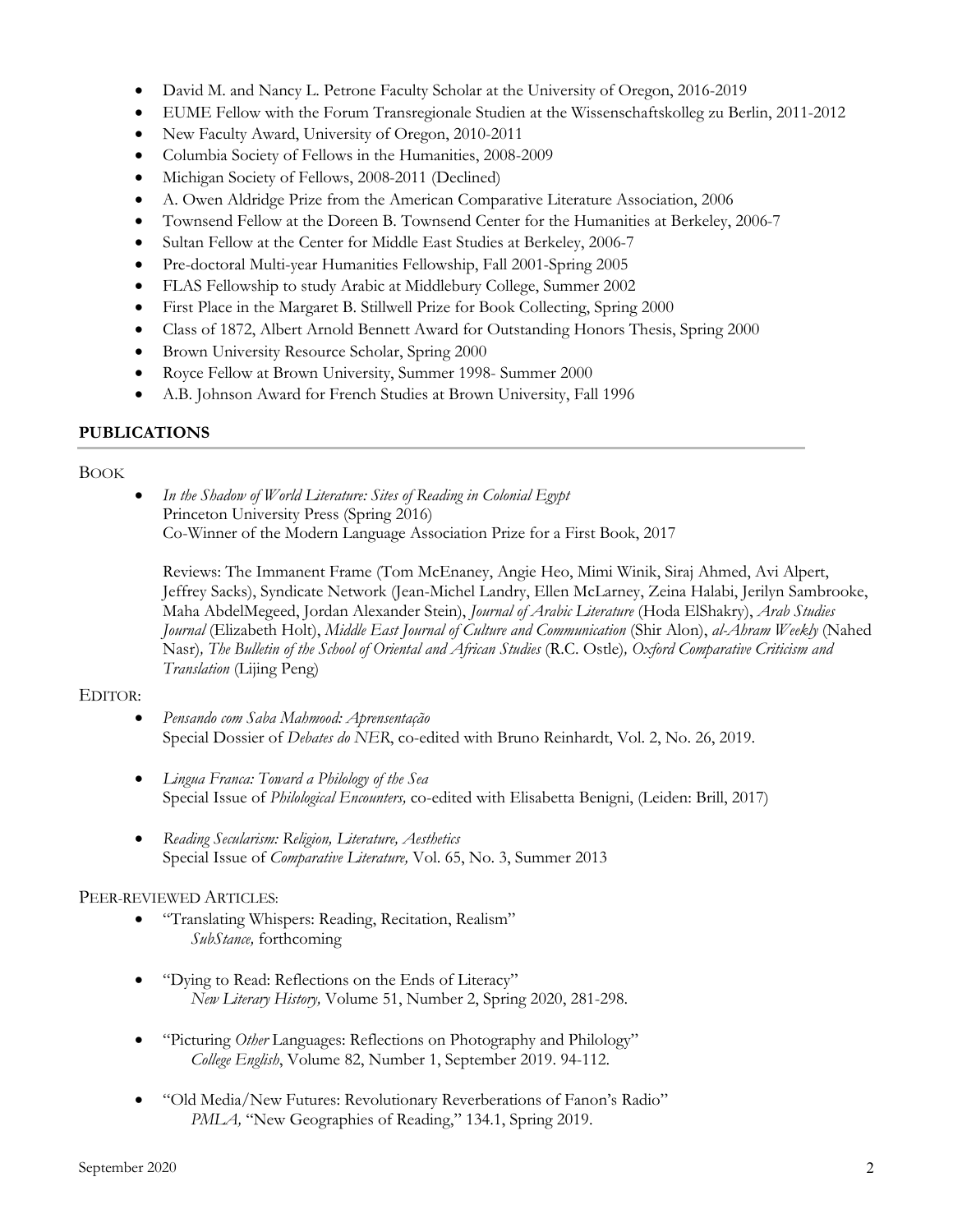- David M. and Nancy L. Petrone Faculty Scholar at the University of Oregon, 2016-2019
- EUME Fellow with the Forum Transregionale Studien at the Wissenschaftskolleg zu Berlin, 2011-2012
- New Faculty Award, University of Oregon, 2010-2011
- Columbia Society of Fellows in the Humanities, 2008-2009
- Michigan Society of Fellows, 2008-2011 (Declined)
- A. Owen Aldridge Prize from the American Comparative Literature Association, 2006
- Townsend Fellow at the Doreen B. Townsend Center for the Humanities at Berkeley, 2006-7
- Sultan Fellow at the Center for Middle East Studies at Berkeley, 2006-7
- Pre-doctoral Multi-year Humanities Fellowship, Fall 2001-Spring 2005
- FLAS Fellowship to study Arabic at Middlebury College, Summer 2002
- First Place in the Margaret B. Stillwell Prize for Book Collecting, Spring 2000
- Class of 1872, Albert Arnold Bennett Award for Outstanding Honors Thesis, Spring 2000
- Brown University Resource Scholar, Spring 2000
- Royce Fellow at Brown University, Summer 1998- Summer 2000
- A.B. Johnson Award for French Studies at Brown University, Fall 1996

## **PUBLICATIONS**

## BOOK

• *In the Shadow of World Literature: Sites of Reading in Colonial Egypt* Princeton University Press (Spring 2016) Co-Winner of the Modern Language Association Prize for a First Book, 2017

Reviews: The Immanent Frame (Tom McEnaney, Angie Heo, Mimi Winik, Siraj Ahmed, Avi Alpert, Jeffrey Sacks), Syndicate Network (Jean-Michel Landry, Ellen McLarney, Zeina Halabi, Jerilyn Sambrooke, Maha AbdelMegeed, Jordan Alexander Stein), *Journal of Arabic Literature* (Hoda ElShakry), *Arab Studies Journal* (Elizabeth Holt), *Middle East Journal of Culture and Communication* (Shir Alon), *al-Ahram Weekly* (Nahed Nasr)*, The Bulletin of the School of Oriental and African Studies* (R.C. Ostle)*, Oxford Comparative Criticism and Translation* (Lijing Peng)

## EDITOR:

- *Pensando com Saba Mahmood: Aprensentação* Special Dossier of *Debates do NER*, co-edited with Bruno Reinhardt, Vol. 2, No. 26, 2019.
- *Lingua Franca: Toward a Philology of the Sea* Special Issue of *Philological Encounters,* co-edited with Elisabetta Benigni, (Leiden: Brill, 2017)
- *Reading Secularism: Religion, Literature, Aesthetics* Special Issue of *Comparative Literature,* Vol. 65, No. 3, Summer 2013

## PEER-REVIEWED ARTICLES:

- "Translating Whispers: Reading, Recitation, Realism" *SubStance,* forthcoming
- "Dying to Read: Reflections on the Ends of Literacy" *New Literary History,* Volume 51, Number 2, Spring 2020, 281-298.
- "Picturing *Other* Languages: Reflections on Photography and Philology" *College English*, Volume 82, Number 1, September 2019. 94-112.
- "Old Media/New Futures: Revolutionary Reverberations of Fanon's Radio" *PMLA*, "New Geographies of Reading," 134.1, Spring 2019.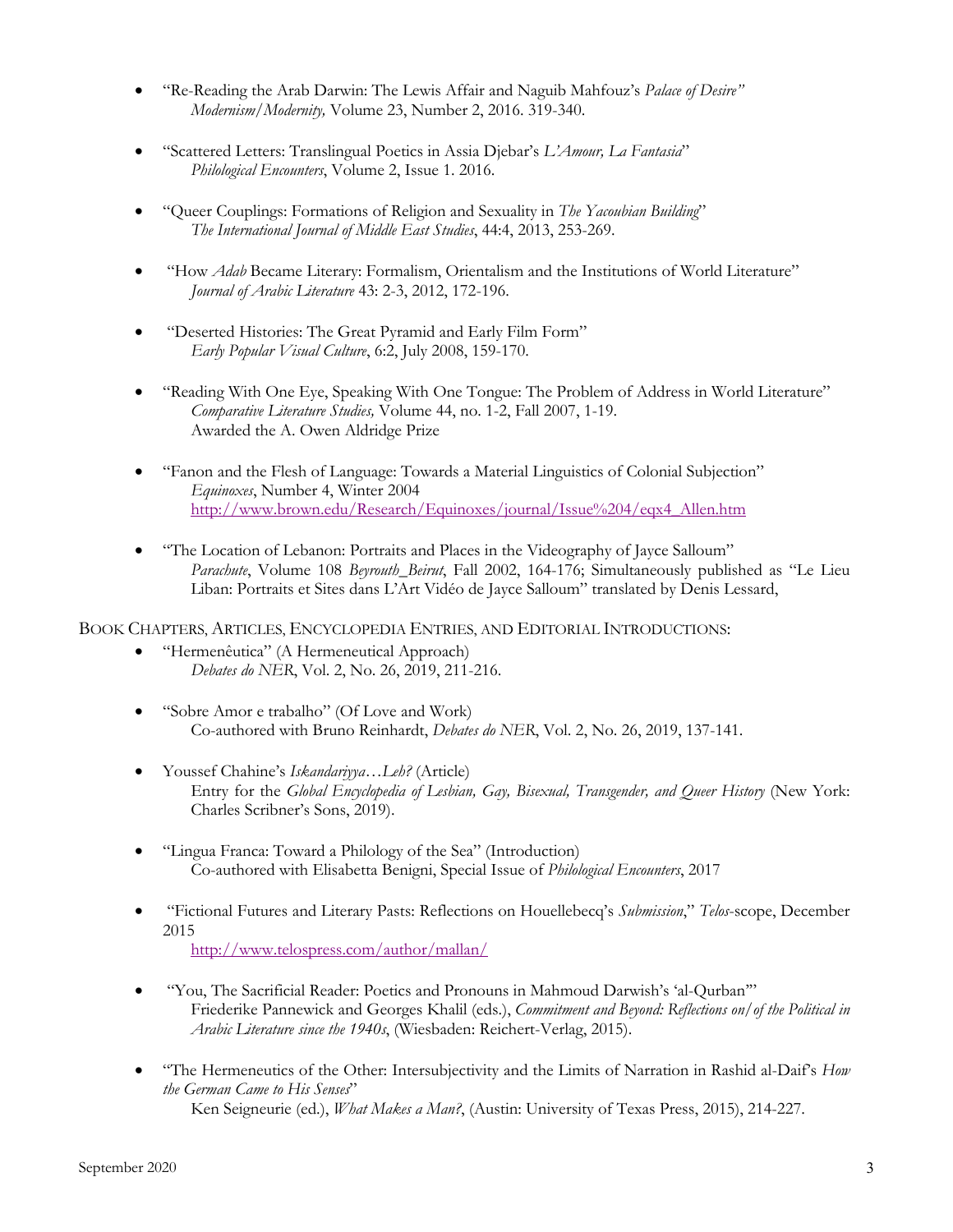- "Re-Reading the Arab Darwin: The Lewis Affair and Naguib Mahfouz's *Palace of Desire" Modernism/Modernity,* Volume 23, Number 2, 2016. 319-340.
- "Scattered Letters: Translingual Poetics in Assia Djebar's *L'Amour, La Fantasia*" *Philological Encounters*, Volume 2, Issue 1. 2016.
- "Queer Couplings: Formations of Religion and Sexuality in *The Yacoubian Building*" *The International Journal of Middle East Studies*, 44:4, 2013, 253-269.
- "How *Adab* Became Literary: Formalism, Orientalism and the Institutions of World Literature" *Journal of Arabic Literature* 43: 2-3, 2012, 172-196.
- "Deserted Histories: The Great Pyramid and Early Film Form" *Early Popular Visual Culture*, 6:2, July 2008, 159-170.
- "Reading With One Eye, Speaking With One Tongue: The Problem of Address in World Literature" *Comparative Literature Studies,* Volume 44, no. 1-2, Fall 2007, 1-19. Awarded the A. Owen Aldridge Prize
- "Fanon and the Flesh of Language: Towards a Material Linguistics of Colonial Subjection" *Equinoxes*, Number 4, Winter 2004 http://www.brown.edu/Research/Equinoxes/journal/Issue%204/eqx4\_Allen.htm
- "The Location of Lebanon: Portraits and Places in the Videography of Jayce Salloum" *Parachute*, Volume 108 *Beyrouth\_Beirut*, Fall 2002, 164-176; Simultaneously published as "Le Lieu Liban: Portraits et Sites dans L'Art Vidéo de Jayce Salloum" translated by Denis Lessard,

BOOK CHAPTERS, ARTICLES, ENCYCLOPEDIA ENTRIES, AND EDITORIAL INTRODUCTIONS:

- "Hermenêutica" (A Hermeneutical Approach) *Debates do NER*, Vol. 2, No. 26, 2019, 211-216.
- "Sobre Amor e trabalho" (Of Love and Work) Co-authored with Bruno Reinhardt, *Debates do NER*, Vol. 2, No. 26, 2019, 137-141.
- Youssef Chahine's *Iskandariyya…Leh?* (Article) Entry for the *Global Encyclopedia of Lesbian, Gay, Bisexual, Transgender, and Queer History* (New York: Charles Scribner's Sons, 2019).
- "Lingua Franca: Toward a Philology of the Sea" (Introduction) Co-authored with Elisabetta Benigni, Special Issue of *Philological Encounters*, 2017
- "Fictional Futures and Literary Pasts: Reflections on Houellebecq's *Submission*," *Telos*-scope, December 2015 http://www.telospress.com/author/mallan/
- "You, The Sacrificial Reader: Poetics and Pronouns in Mahmoud Darwish's 'al-Qurban'" Friederike Pannewick and Georges Khalil (eds.), *Commitment and Beyond: Reflections on/of the Political in Arabic Literature since the 1940s*, (Wiesbaden: Reichert-Verlag, 2015).
- "The Hermeneutics of the Other: Intersubjectivity and the Limits of Narration in Rashid al-Daif's *How the German Came to His Senses*" Ken Seigneurie (ed.), *What Makes a Man?*, (Austin: University of Texas Press, 2015), 214-227.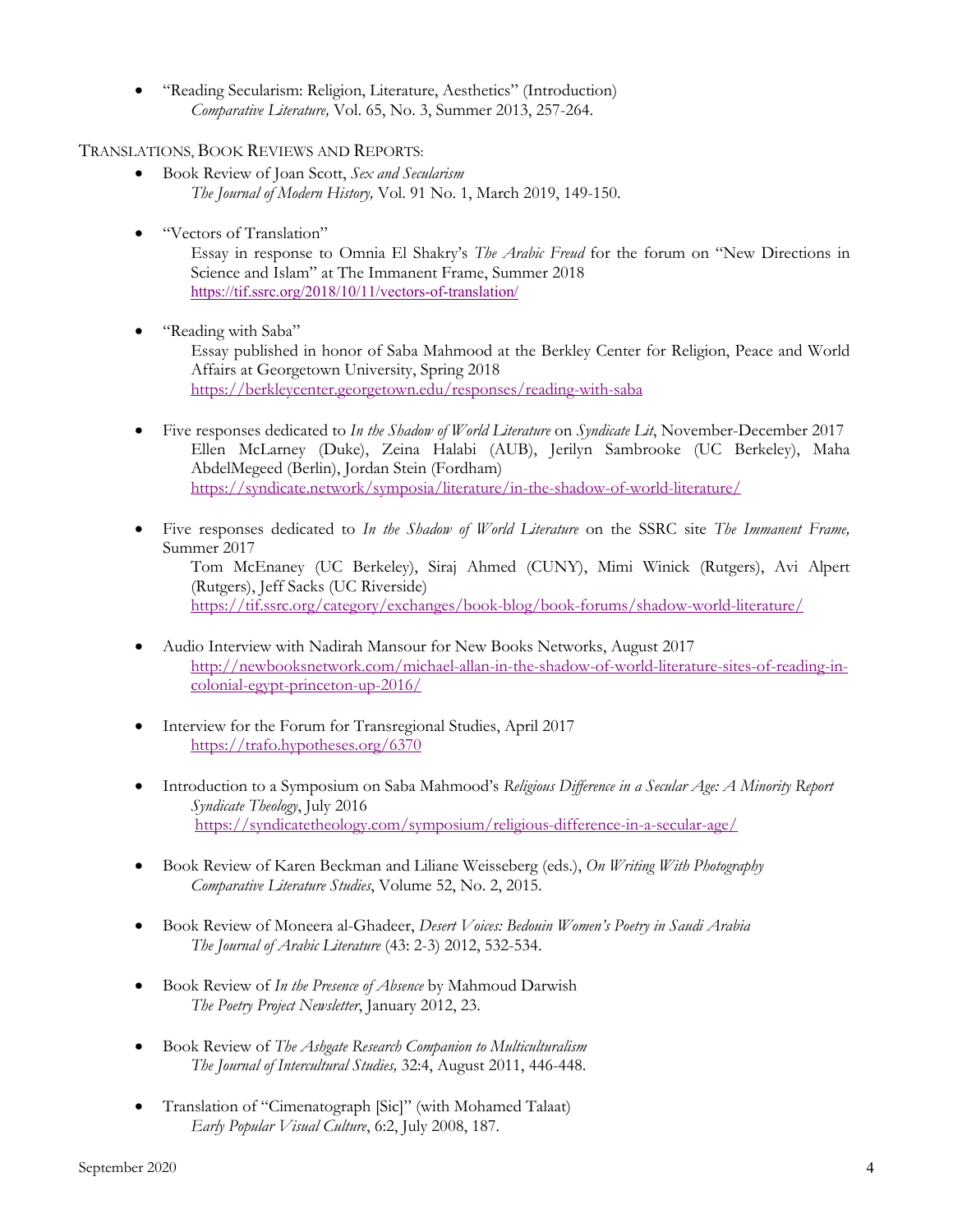• "Reading Secularism: Religion, Literature, Aesthetics" (Introduction) *Comparative Literature,* Vol. 65, No. 3, Summer 2013, 257-264.

TRANSLATIONS, BOOK REVIEWS AND REPORTS:

- Book Review of Joan Scott, *Sex and Secularism The Journal of Modern History,* Vol. 91 No. 1, March 2019, 149-150.
- "Vectors of Translation"

Essay in response to Omnia El Shakry's *The Arabic Freud* for the forum on "New Directions in Science and Islam" at The Immanent Frame, Summer 2018 https://tif.ssrc.org/2018/10/11/vectors-of-translation/

• "Reading with Saba"

Essay published in honor of Saba Mahmood at the Berkley Center for Religion, Peace and World Affairs at Georgetown University, Spring 2018 https://berkleycenter.georgetown.edu/responses/reading-with-saba

- Five responses dedicated to *In the Shadow of World Literature* on *Syndicate Lit*, November-December 2017 Ellen McLarney (Duke), Zeina Halabi (AUB), Jerilyn Sambrooke (UC Berkeley), Maha AbdelMegeed (Berlin), Jordan Stein (Fordham) https://syndicate.network/symposia/literature/in-the-shadow-of-world-literature/
- Five responses dedicated to *In the Shadow of World Literature* on the SSRC site *The Immanent Frame,*  Summer 2017

Tom McEnaney (UC Berkeley), Siraj Ahmed (CUNY), Mimi Winick (Rutgers), Avi Alpert (Rutgers), Jeff Sacks (UC Riverside) https://tif.ssrc.org/category/exchanges/book-blog/book-forums/shadow-world-literature/

- Audio Interview with Nadirah Mansour for New Books Networks, August 2017 http://newbooksnetwork.com/michael-allan-in-the-shadow-of-world-literature-sites-of-reading-incolonial-egypt-princeton-up-2016/
- Interview for the Forum for Transregional Studies, April 2017 https://trafo.hypotheses.org/6370
- Introduction to a Symposium on Saba Mahmood's *Religious Difference in a Secular Age: A Minority Report Syndicate Theology*, July 2016 https://syndicatetheology.com/symposium/religious-difference-in-a-secular-age/
- Book Review of Karen Beckman and Liliane Weisseberg (eds.), *On Writing With Photography Comparative Literature Studies*, Volume 52, No. 2, 2015.
- Book Review of Moneera al-Ghadeer, *Desert Voices: Bedouin Women's Poetry in Saudi Arabia The Journal of Arabic Literature* (43: 2-3) 2012, 532-534.
- Book Review of *In the Presence of Absence* by Mahmoud Darwish *The Poetry Project Newsletter*, January 2012, 23.
- Book Review of *The Ashgate Research Companion to Multiculturalism The Journal of Intercultural Studies,* 32:4, August 2011, 446-448.
- Translation of "Cimenatograph [Sic]" (with Mohamed Talaat) *Early Popular Visual Culture*, 6:2, July 2008, 187.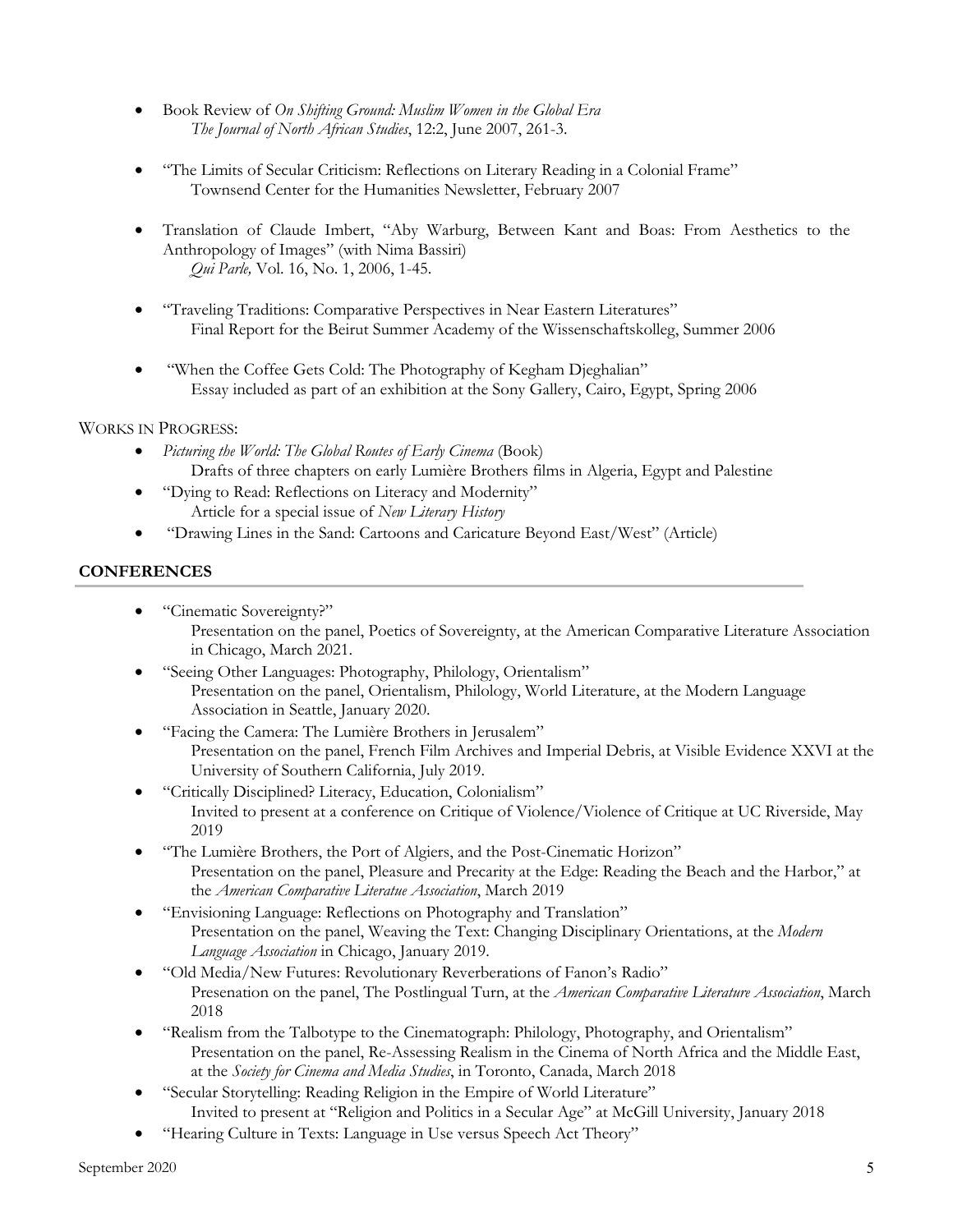- Book Review of *On Shifting Ground: Muslim Women in the Global Era The Journal of North African Studies*, 12:2, June 2007, 261-3.
- "The Limits of Secular Criticism: Reflections on Literary Reading in a Colonial Frame" Townsend Center for the Humanities Newsletter, February 2007
- Translation of Claude Imbert, "Aby Warburg, Between Kant and Boas: From Aesthetics to the Anthropology of Images" (with Nima Bassiri) *Qui Parle,* Vol. 16, No. 1, 2006, 1-45.
- "Traveling Traditions: Comparative Perspectives in Near Eastern Literatures" Final Report for the Beirut Summer Academy of the Wissenschaftskolleg, Summer 2006
- "When the Coffee Gets Cold: The Photography of Kegham Djeghalian" Essay included as part of an exhibition at the Sony Gallery, Cairo, Egypt, Spring 2006

## WORKS IN PROGRESS:

- *Picturing the World: The Global Routes of Early Cinema* (Book) Drafts of three chapters on early Lumière Brothers films in Algeria, Egypt and Palestine
- "Dying to Read: Reflections on Literacy and Modernity" Article for a special issue of *New Literary History*
- "Drawing Lines in the Sand: Cartoons and Caricature Beyond East/West" (Article)

## **CONFERENCES**

- "Cinematic Sovereignty?" Presentation on the panel, Poetics of Sovereignty, at the American Comparative Literature Association in Chicago, March 2021.
- "Seeing Other Languages: Photography, Philology, Orientalism" Presentation on the panel, Orientalism, Philology, World Literature, at the Modern Language Association in Seattle, January 2020.
- "Facing the Camera: The Lumière Brothers in Jerusalem" Presentation on the panel, French Film Archives and Imperial Debris, at Visible Evidence XXVI at the University of Southern California, July 2019.
- "Critically Disciplined? Literacy, Education, Colonialism" Invited to present at a conference on Critique of Violence/Violence of Critique at UC Riverside, May 2019
- "The Lumière Brothers, the Port of Algiers, and the Post-Cinematic Horizon" Presentation on the panel, Pleasure and Precarity at the Edge: Reading the Beach and the Harbor," at the *American Comparative Literatue Association*, March 2019
- "Envisioning Language: Reflections on Photography and Translation" Presentation on the panel, Weaving the Text: Changing Disciplinary Orientations, at the *Modern Language Association* in Chicago, January 2019.
- "Old Media/New Futures: Revolutionary Reverberations of Fanon's Radio" Presenation on the panel, The Postlingual Turn, at the *American Comparative Literature Association*, March 2018
- "Realism from the Talbotype to the Cinematograph: Philology, Photography, and Orientalism" Presentation on the panel, Re-Assessing Realism in the Cinema of North Africa and the Middle East, at the *Society for Cinema and Media Studies*, in Toronto, Canada, March 2018
- "Secular Storytelling: Reading Religion in the Empire of World Literature" Invited to present at "Religion and Politics in a Secular Age" at McGill University, January 2018
- "Hearing Culture in Texts: Language in Use versus Speech Act Theory"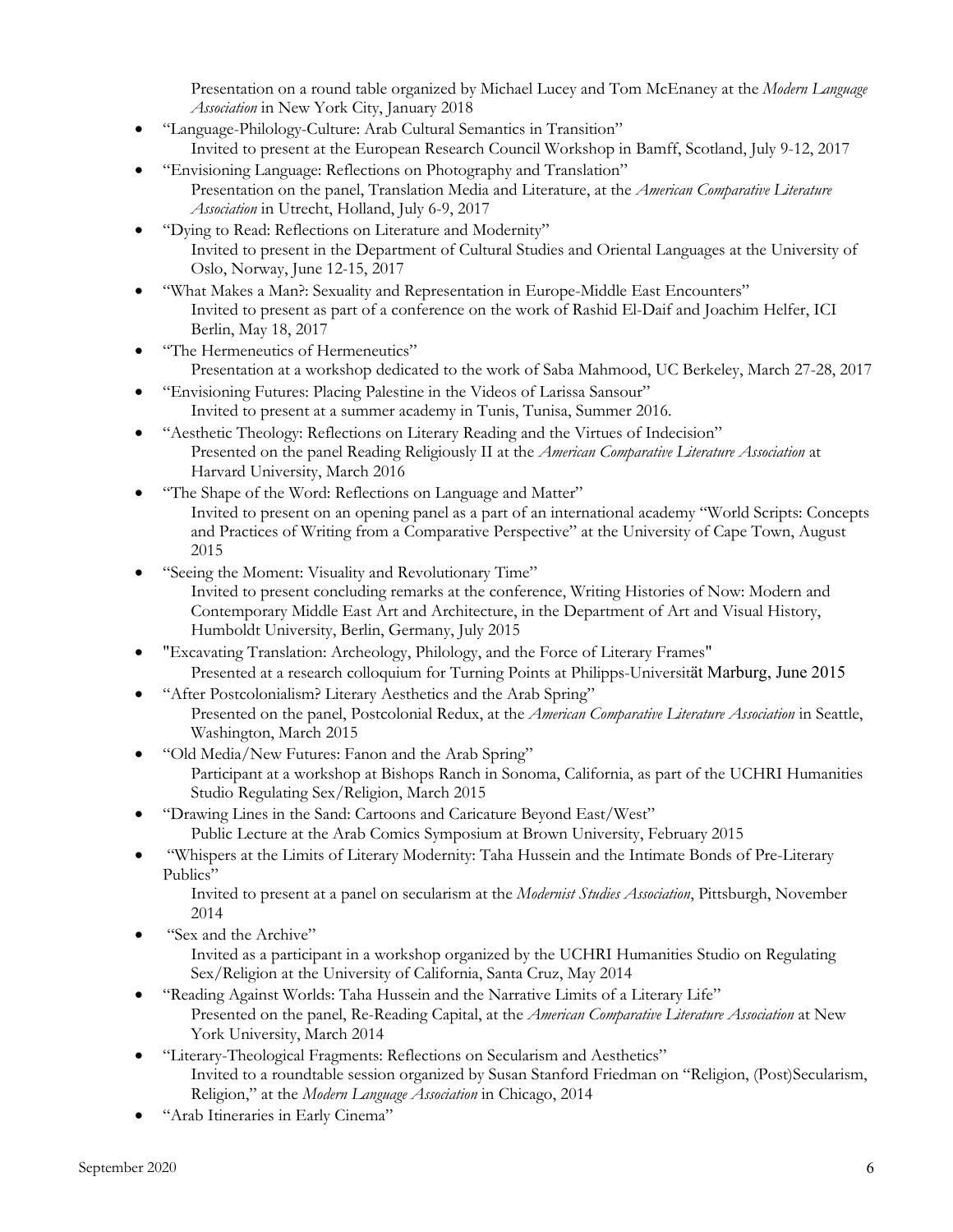Presentation on a round table organized by Michael Lucey and Tom McEnaney at the *Modern Language Association* in New York City, January 2018

- "Language-Philology-Culture: Arab Cultural Semantics in Transition" Invited to present at the European Research Council Workshop in Bamff, Scotland, July 9-12, 2017
- "Envisioning Language: Reflections on Photography and Translation" Presentation on the panel, Translation Media and Literature, at the *American Comparative Literature Association* in Utrecht, Holland, July 6-9, 2017
- "Dying to Read: Reflections on Literature and Modernity" Invited to present in the Department of Cultural Studies and Oriental Languages at the University of Oslo, Norway, June 12-15, 2017
- "What Makes a Man?: Sexuality and Representation in Europe-Middle East Encounters" Invited to present as part of a conference on the work of Rashid El-Daif and Joachim Helfer, ICI Berlin, May 18, 2017
- "The Hermeneutics of Hermeneutics" Presentation at a workshop dedicated to the work of Saba Mahmood, UC Berkeley, March 27-28, 2017
- "Envisioning Futures: Placing Palestine in the Videos of Larissa Sansour" Invited to present at a summer academy in Tunis, Tunisa, Summer 2016.
- "Aesthetic Theology: Reflections on Literary Reading and the Virtues of Indecision" Presented on the panel Reading Religiously II at the *American Comparative Literature Association* at Harvard University, March 2016
- "The Shape of the Word: Reflections on Language and Matter" Invited to present on an opening panel as a part of an international academy "World Scripts: Concepts and Practices of Writing from a Comparative Perspective" at the University of Cape Town, August 2015
- "Seeing the Moment: Visuality and Revolutionary Time" Invited to present concluding remarks at the conference, Writing Histories of Now: Modern and Contemporary Middle East Art and Architecture, in the Department of Art and Visual History, Humboldt University, Berlin, Germany, July 2015
- "Excavating Translation: Archeology, Philology, and the Force of Literary Frames" Presented at a research colloquium for Turning Points at Philipps-Universität Marburg, June 2015
- "After Postcolonialism? Literary Aesthetics and the Arab Spring" Presented on the panel, Postcolonial Redux, at the *American Comparative Literature Association* in Seattle, Washington, March 2015
- "Old Media/New Futures: Fanon and the Arab Spring" Participant at a workshop at Bishops Ranch in Sonoma, California, as part of the UCHRI Humanities Studio Regulating Sex/Religion, March 2015
- "Drawing Lines in the Sand: Cartoons and Caricature Beyond East/West" Public Lecture at the Arab Comics Symposium at Brown University, February 2015
- "Whispers at the Limits of Literary Modernity: Taha Hussein and the Intimate Bonds of Pre-Literary Publics"

Invited to present at a panel on secularism at the *Modernist Studies Association*, Pittsburgh, November 2014

• "Sex and the Archive"

Invited as a participant in a workshop organized by the UCHRI Humanities Studio on Regulating Sex/Religion at the University of California, Santa Cruz, May 2014

- "Reading Against Worlds: Taha Hussein and the Narrative Limits of a Literary Life" Presented on the panel, Re-Reading Capital, at the *American Comparative Literature Association* at New York University, March 2014
- "Literary-Theological Fragments: Reflections on Secularism and Aesthetics" Invited to a roundtable session organized by Susan Stanford Friedman on "Religion, (Post)Secularism, Religion," at the *Modern Language Association* in Chicago, 2014
- "Arab Itineraries in Early Cinema"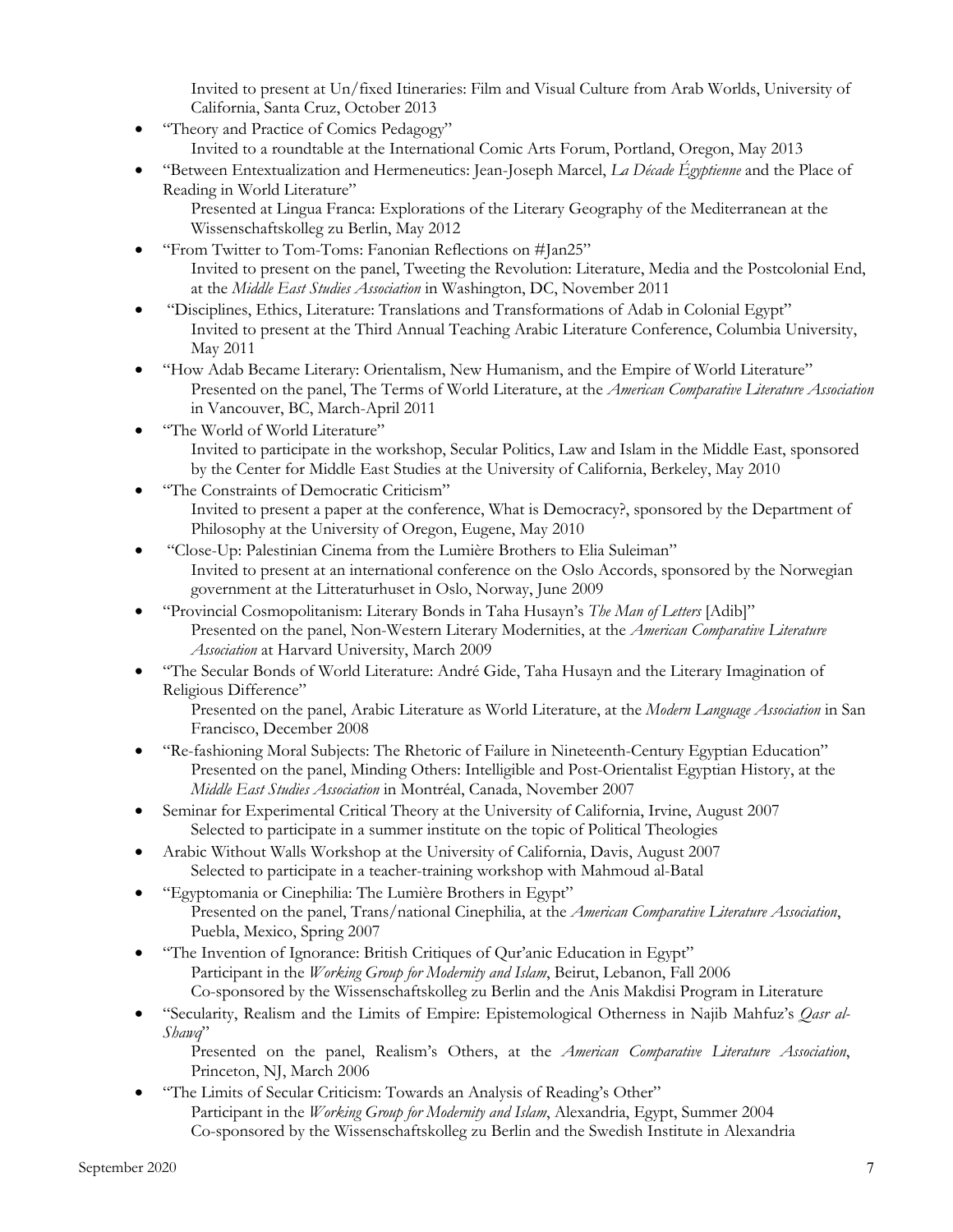Invited to present at Un/fixed Itineraries: Film and Visual Culture from Arab Worlds, University of California, Santa Cruz, October 2013

- "Theory and Practice of Comics Pedagogy" Invited to a roundtable at the International Comic Arts Forum, Portland, Oregon, May 2013
- "Between Entextualization and Hermeneutics: Jean-Joseph Marcel, *La Décade Égyptienne* and the Place of Reading in World Literature"
	- Presented at Lingua Franca: Explorations of the Literary Geography of the Mediterranean at the Wissenschaftskolleg zu Berlin, May 2012
- "From Twitter to Tom-Toms: Fanonian Reflections on #Jan25" Invited to present on the panel, Tweeting the Revolution: Literature, Media and the Postcolonial End, at the *Middle East Studies Association* in Washington, DC, November 2011
- "Disciplines, Ethics, Literature: Translations and Transformations of Adab in Colonial Egypt" Invited to present at the Third Annual Teaching Arabic Literature Conference, Columbia University, May 2011
- "How Adab Became Literary: Orientalism, New Humanism, and the Empire of World Literature" Presented on the panel, The Terms of World Literature, at the *American Comparative Literature Association*  in Vancouver, BC, March-April 2011
- "The World of World Literature" Invited to participate in the workshop, Secular Politics, Law and Islam in the Middle East, sponsored by the Center for Middle East Studies at the University of California, Berkeley, May 2010
- "The Constraints of Democratic Criticism" Invited to present a paper at the conference, What is Democracy?, sponsored by the Department of Philosophy at the University of Oregon, Eugene, May 2010
- "Close-Up: Palestinian Cinema from the Lumière Brothers to Elia Suleiman" Invited to present at an international conference on the Oslo Accords, sponsored by the Norwegian government at the Litteraturhuset in Oslo, Norway, June 2009
- "Provincial Cosmopolitanism: Literary Bonds in Taha Husayn's *The Man of Letters* [Adib]" Presented on the panel, Non-Western Literary Modernities, at the *American Comparative Literature Association* at Harvard University, March 2009
- "The Secular Bonds of World Literature: André Gide, Taha Husayn and the Literary Imagination of Religious Difference"

Presented on the panel, Arabic Literature as World Literature, at the *Modern Language Association* in San Francisco, December 2008

- "Re-fashioning Moral Subjects: The Rhetoric of Failure in Nineteenth-Century Egyptian Education" Presented on the panel, Minding Others: Intelligible and Post-Orientalist Egyptian History, at the *Middle East Studies Association* in Montréal, Canada, November 2007
- Seminar for Experimental Critical Theory at the University of California, Irvine, August 2007 Selected to participate in a summer institute on the topic of Political Theologies
- Arabic Without Walls Workshop at the University of California, Davis, August 2007 Selected to participate in a teacher-training workshop with Mahmoud al-Batal
- "Egyptomania or Cinephilia: The Lumière Brothers in Egypt" Presented on the panel, Trans/national Cinephilia, at the *American Comparative Literature Association*, Puebla, Mexico, Spring 2007
- "The Invention of Ignorance: British Critiques of Qur'anic Education in Egypt" Participant in the *Working Group for Modernity and Islam*, Beirut, Lebanon, Fall 2006 Co-sponsored by the Wissenschaftskolleg zu Berlin and the Anis Makdisi Program in Literature
- "Secularity, Realism and the Limits of Empire: Epistemological Otherness in Najib Mahfuz's *Qasr al-Shawq*"

Presented on the panel, Realism's Others, at the *American Comparative Literature Association*, Princeton, NJ, March 2006

• "The Limits of Secular Criticism: Towards an Analysis of Reading's Other" Participant in the *Working Group for Modernity and Islam*, Alexandria, Egypt, Summer 2004 Co-sponsored by the Wissenschaftskolleg zu Berlin and the Swedish Institute in Alexandria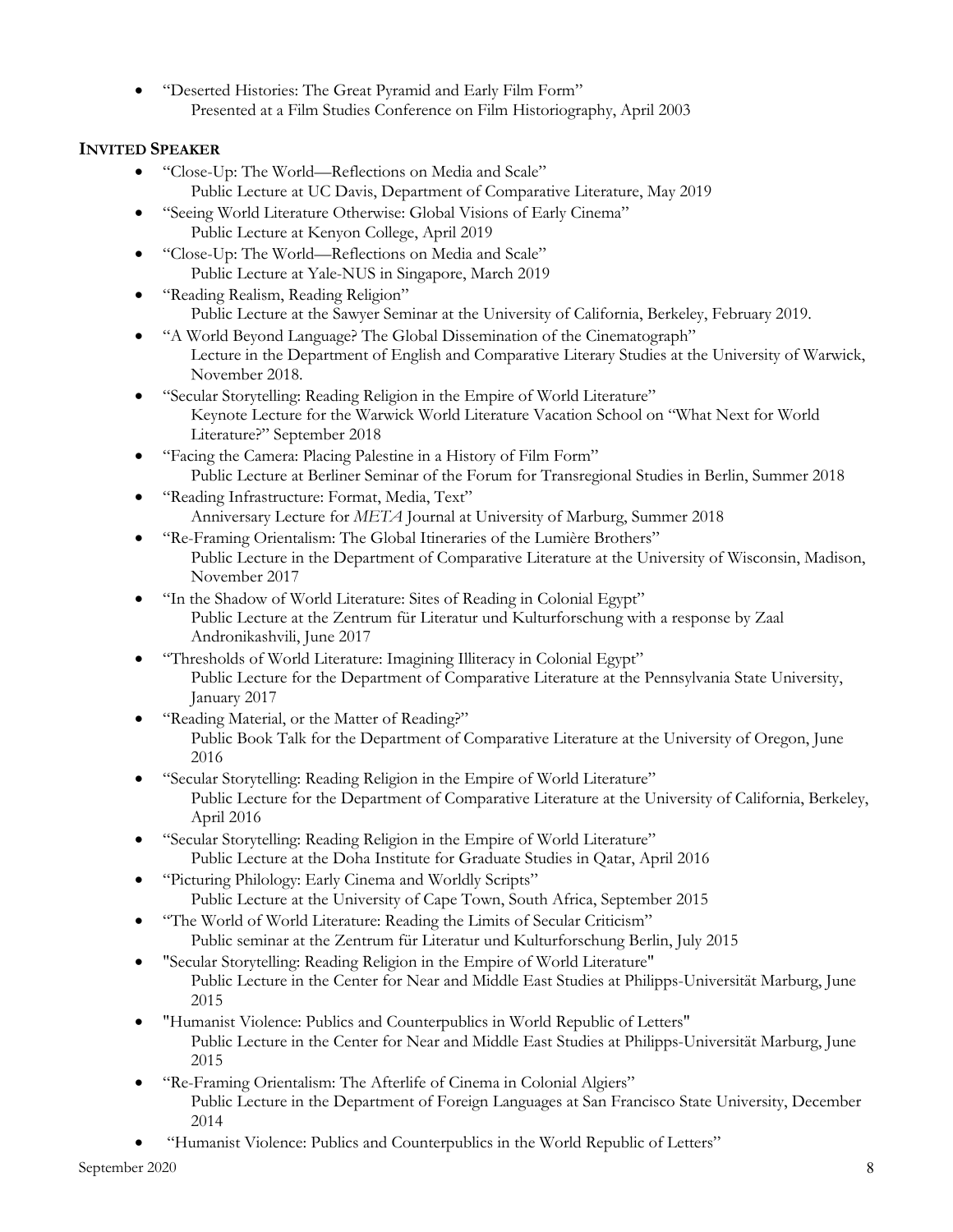• "Deserted Histories: The Great Pyramid and Early Film Form" Presented at a Film Studies Conference on Film Historiography, April 2003

# **INVITED SPEAKER**

- "Close-Up: The World—Reflections on Media and Scale" Public Lecture at UC Davis, Department of Comparative Literature, May 2019
- "Seeing World Literature Otherwise: Global Visions of Early Cinema" Public Lecture at Kenyon College, April 2019
- "Close-Up: The World—Reflections on Media and Scale" Public Lecture at Yale-NUS in Singapore, March 2019
- "Reading Realism, Reading Religion" Public Lecture at the Sawyer Seminar at the University of California, Berkeley, February 2019.
- "A World Beyond Language? The Global Dissemination of the Cinematograph" Lecture in the Department of English and Comparative Literary Studies at the University of Warwick, November 2018.
- "Secular Storytelling: Reading Religion in the Empire of World Literature" Keynote Lecture for the Warwick World Literature Vacation School on "What Next for World Literature?" September 2018
- "Facing the Camera: Placing Palestine in a History of Film Form" Public Lecture at Berliner Seminar of the Forum for Transregional Studies in Berlin, Summer 2018
- "Reading Infrastructure: Format, Media, Text" Anniversary Lecture for *META* Journal at University of Marburg, Summer 2018
- "Re-Framing Orientalism: The Global Itineraries of the Lumière Brothers" Public Lecture in the Department of Comparative Literature at the University of Wisconsin, Madison, November 2017
- "In the Shadow of World Literature: Sites of Reading in Colonial Egypt" Public Lecture at the Zentrum für Literatur und Kulturforschung with a response by Zaal Andronikashvili, June 2017
- "Thresholds of World Literature: Imagining Illiteracy in Colonial Egypt" Public Lecture for the Department of Comparative Literature at the Pennsylvania State University, January 2017
- "Reading Material, or the Matter of Reading?" Public Book Talk for the Department of Comparative Literature at the University of Oregon, June 2016
- "Secular Storytelling: Reading Religion in the Empire of World Literature" Public Lecture for the Department of Comparative Literature at the University of California, Berkeley, April 2016
- "Secular Storytelling: Reading Religion in the Empire of World Literature" Public Lecture at the Doha Institute for Graduate Studies in Qatar, April 2016
- "Picturing Philology: Early Cinema and Worldly Scripts" Public Lecture at the University of Cape Town, South Africa, September 2015
- "The World of World Literature: Reading the Limits of Secular Criticism" Public seminar at the Zentrum für Literatur und Kulturforschung Berlin, July 2015
- "Secular Storytelling: Reading Religion in the Empire of World Literature" Public Lecture in the Center for Near and Middle East Studies at Philipps-Universität Marburg, June 2015
- "Humanist Violence: Publics and Counterpublics in World Republic of Letters" Public Lecture in the Center for Near and Middle East Studies at Philipps-Universität Marburg, June 2015
- "Re-Framing Orientalism: The Afterlife of Cinema in Colonial Algiers" Public Lecture in the Department of Foreign Languages at San Francisco State University, December 2014
- "Humanist Violence: Publics and Counterpublics in the World Republic of Letters"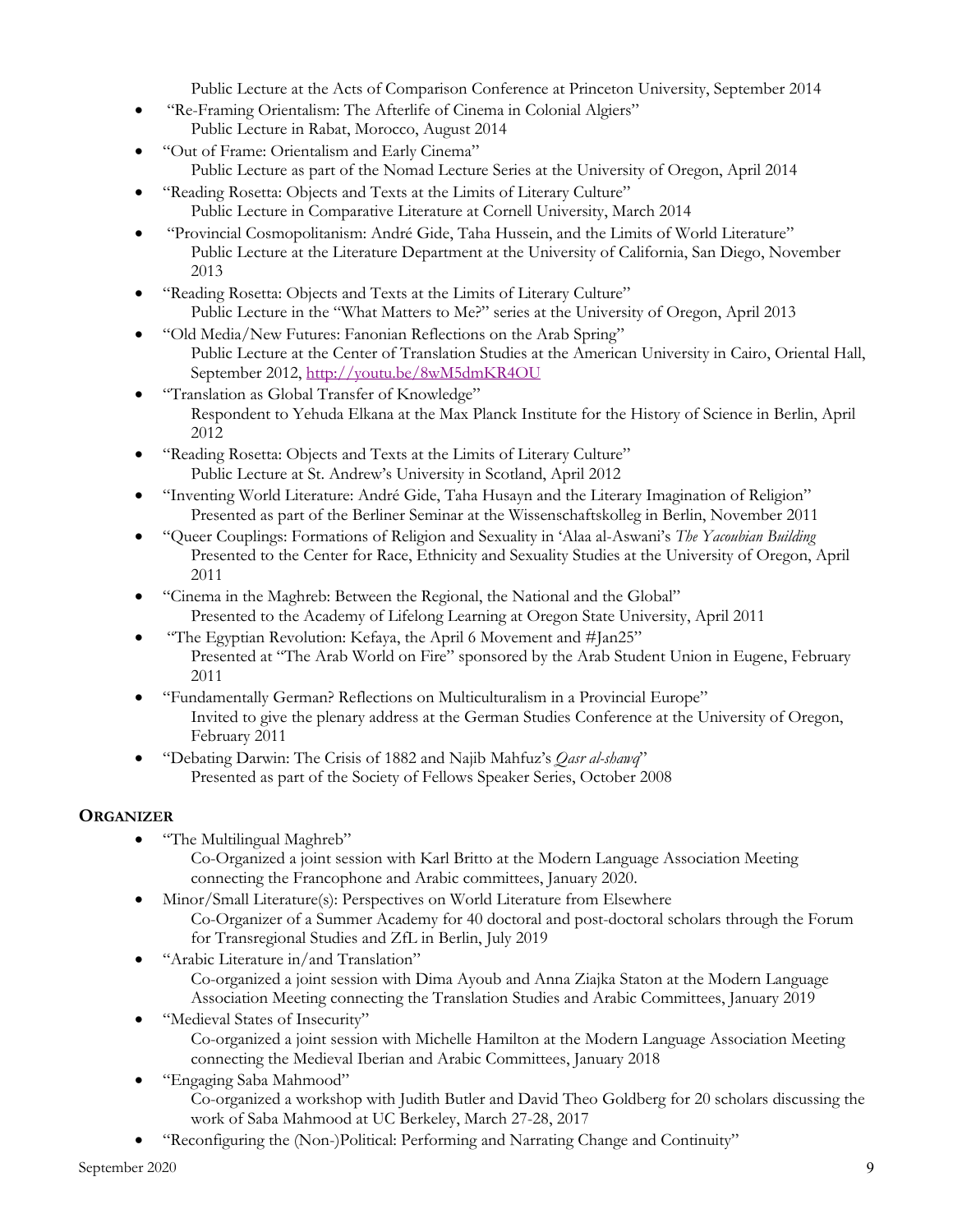Public Lecture at the Acts of Comparison Conference at Princeton University, September 2014

- "Re-Framing Orientalism: The Afterlife of Cinema in Colonial Algiers" Public Lecture in Rabat, Morocco, August 2014
- "Out of Frame: Orientalism and Early Cinema" Public Lecture as part of the Nomad Lecture Series at the University of Oregon, April 2014
- "Reading Rosetta: Objects and Texts at the Limits of Literary Culture" Public Lecture in Comparative Literature at Cornell University, March 2014
- "Provincial Cosmopolitanism: André Gide, Taha Hussein, and the Limits of World Literature" Public Lecture at the Literature Department at the University of California, San Diego, November 2013
- "Reading Rosetta: Objects and Texts at the Limits of Literary Culture" Public Lecture in the "What Matters to Me?" series at the University of Oregon, April 2013
- "Old Media/New Futures: Fanonian Reflections on the Arab Spring" Public Lecture at the Center of Translation Studies at the American University in Cairo, Oriental Hall, September 2012, http://youtu.be/8wM5dmKR4OU
- "Translation as Global Transfer of Knowledge" Respondent to Yehuda Elkana at the Max Planck Institute for the History of Science in Berlin, April 2012
- "Reading Rosetta: Objects and Texts at the Limits of Literary Culture" Public Lecture at St. Andrew's University in Scotland, April 2012
- "Inventing World Literature: André Gide, Taha Husayn and the Literary Imagination of Religion" Presented as part of the Berliner Seminar at the Wissenschaftskolleg in Berlin, November 2011
- "Queer Couplings: Formations of Religion and Sexuality in 'Alaa al-Aswani's *The Yacoubian Building* Presented to the Center for Race, Ethnicity and Sexuality Studies at the University of Oregon, April 2011
- "Cinema in the Maghreb: Between the Regional, the National and the Global" Presented to the Academy of Lifelong Learning at Oregon State University, April 2011
- "The Egyptian Revolution: Kefaya, the April 6 Movement and #Jan25" Presented at "The Arab World on Fire" sponsored by the Arab Student Union in Eugene, February 2011
- "Fundamentally German? Reflections on Multiculturalism in a Provincial Europe" Invited to give the plenary address at the German Studies Conference at the University of Oregon, February 2011
- "Debating Darwin: The Crisis of 1882 and Najib Mahfuz's *Qasr al-shawq*" Presented as part of the Society of Fellows Speaker Series, October 2008

# **ORGANIZER**

• "The Multilingual Maghreb"

Co-Organized a joint session with Karl Britto at the Modern Language Association Meeting connecting the Francophone and Arabic committees, January 2020.

- Minor/Small Literature(s): Perspectives on World Literature from Elsewhere Co-Organizer of a Summer Academy for 40 doctoral and post-doctoral scholars through the Forum for Transregional Studies and ZfL in Berlin, July 2019
- "Arabic Literature in/and Translation" Co-organized a joint session with Dima Ayoub and Anna Ziajka Staton at the Modern Language Association Meeting connecting the Translation Studies and Arabic Committees, January 2019
- "Medieval States of Insecurity" Co-organized a joint session with Michelle Hamilton at the Modern Language Association Meeting connecting the Medieval Iberian and Arabic Committees, January 2018
- "Engaging Saba Mahmood" Co-organized a workshop with Judith Butler and David Theo Goldberg for 20 scholars discussing the work of Saba Mahmood at UC Berkeley, March 27-28, 2017
- "Reconfiguring the (Non-)Political: Performing and Narrating Change and Continuity"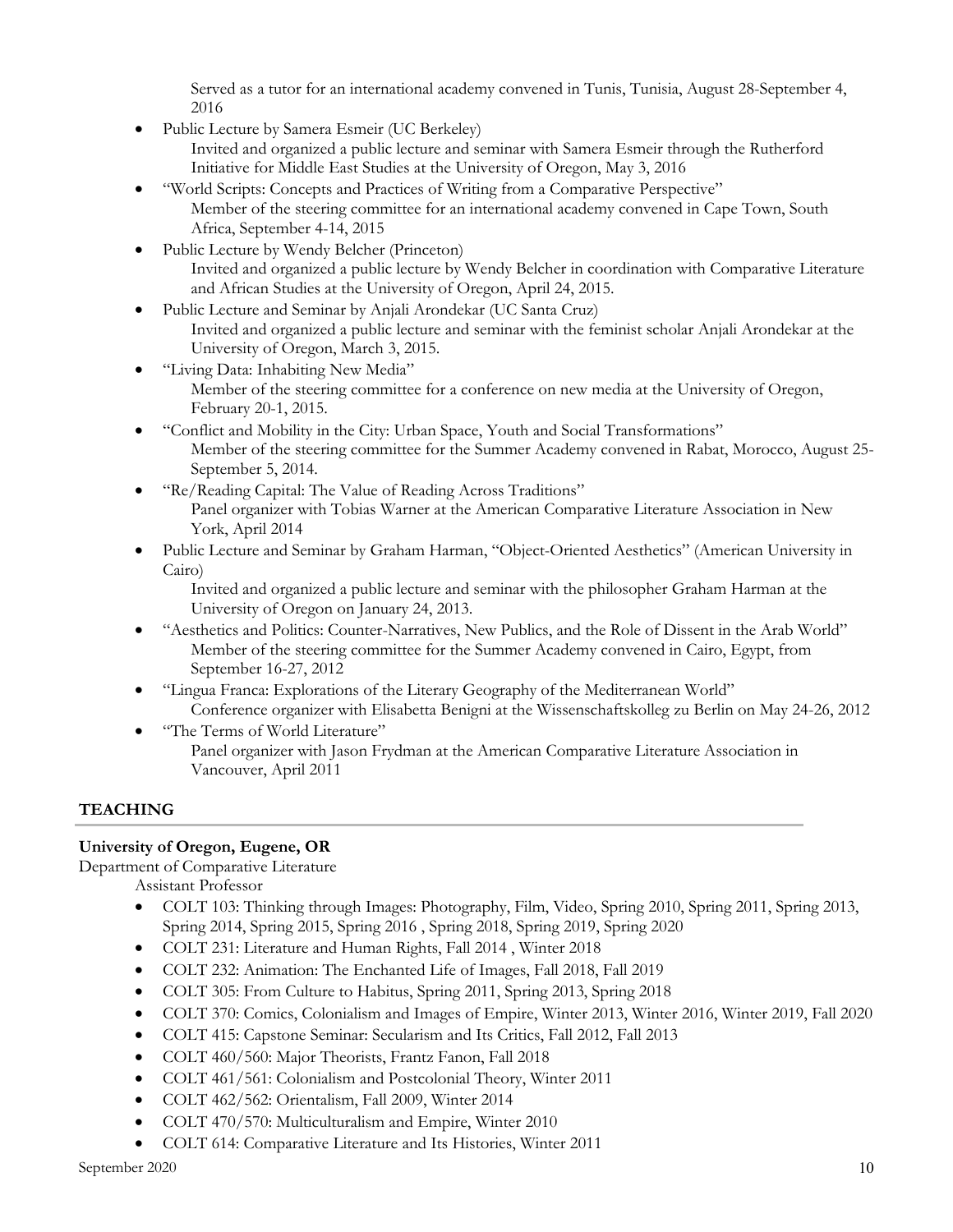Served as a tutor for an international academy convened in Tunis, Tunisia, August 28-September 4, 2016

• Public Lecture by Samera Esmeir (UC Berkeley)

Invited and organized a public lecture and seminar with Samera Esmeir through the Rutherford Initiative for Middle East Studies at the University of Oregon, May 3, 2016

- "World Scripts: Concepts and Practices of Writing from a Comparative Perspective" Member of the steering committee for an international academy convened in Cape Town, South Africa, September 4-14, 2015
- Public Lecture by Wendy Belcher (Princeton) Invited and organized a public lecture by Wendy Belcher in coordination with Comparative Literature and African Studies at the University of Oregon, April 24, 2015.
- Public Lecture and Seminar by Anjali Arondekar (UC Santa Cruz) Invited and organized a public lecture and seminar with the feminist scholar Anjali Arondekar at the University of Oregon, March 3, 2015.
- "Living Data: Inhabiting New Media" Member of the steering committee for a conference on new media at the University of Oregon, February 20-1, 2015.
- "Conflict and Mobility in the City: Urban Space, Youth and Social Transformations" Member of the steering committee for the Summer Academy convened in Rabat, Morocco, August 25- September 5, 2014.
- "Re/Reading Capital: The Value of Reading Across Traditions" Panel organizer with Tobias Warner at the American Comparative Literature Association in New York, April 2014
- Public Lecture and Seminar by Graham Harman, "Object-Oriented Aesthetics" (American University in Cairo)

Invited and organized a public lecture and seminar with the philosopher Graham Harman at the University of Oregon on January 24, 2013.

- "Aesthetics and Politics: Counter-Narratives, New Publics, and the Role of Dissent in the Arab World" Member of the steering committee for the Summer Academy convened in Cairo, Egypt, from September 16-27, 2012
- "Lingua Franca: Explorations of the Literary Geography of the Mediterranean World" Conference organizer with Elisabetta Benigni at the Wissenschaftskolleg zu Berlin on May 24-26, 2012
- "The Terms of World Literature" Panel organizer with Jason Frydman at the American Comparative Literature Association in Vancouver, April 2011

# **TEACHING**

# **University of Oregon, Eugene, OR**

Department of Comparative Literature

Assistant Professor

- COLT 103: Thinking through Images: Photography, Film, Video, Spring 2010, Spring 2011, Spring 2013, Spring 2014, Spring 2015, Spring 2016 , Spring 2018, Spring 2019, Spring 2020
- COLT 231: Literature and Human Rights, Fall 2014 , Winter 2018
- COLT 232: Animation: The Enchanted Life of Images, Fall 2018, Fall 2019
- COLT 305: From Culture to Habitus, Spring 2011, Spring 2013, Spring 2018
- COLT 370: Comics, Colonialism and Images of Empire, Winter 2013, Winter 2016, Winter 2019, Fall 2020
- COLT 415: Capstone Seminar: Secularism and Its Critics, Fall 2012, Fall 2013
- COLT 460/560: Major Theorists, Frantz Fanon, Fall 2018
- COLT 461/561: Colonialism and Postcolonial Theory, Winter 2011
- COLT 462/562: Orientalism, Fall 2009, Winter 2014
- COLT 470/570: Multiculturalism and Empire, Winter 2010
- COLT 614: Comparative Literature and Its Histories, Winter 2011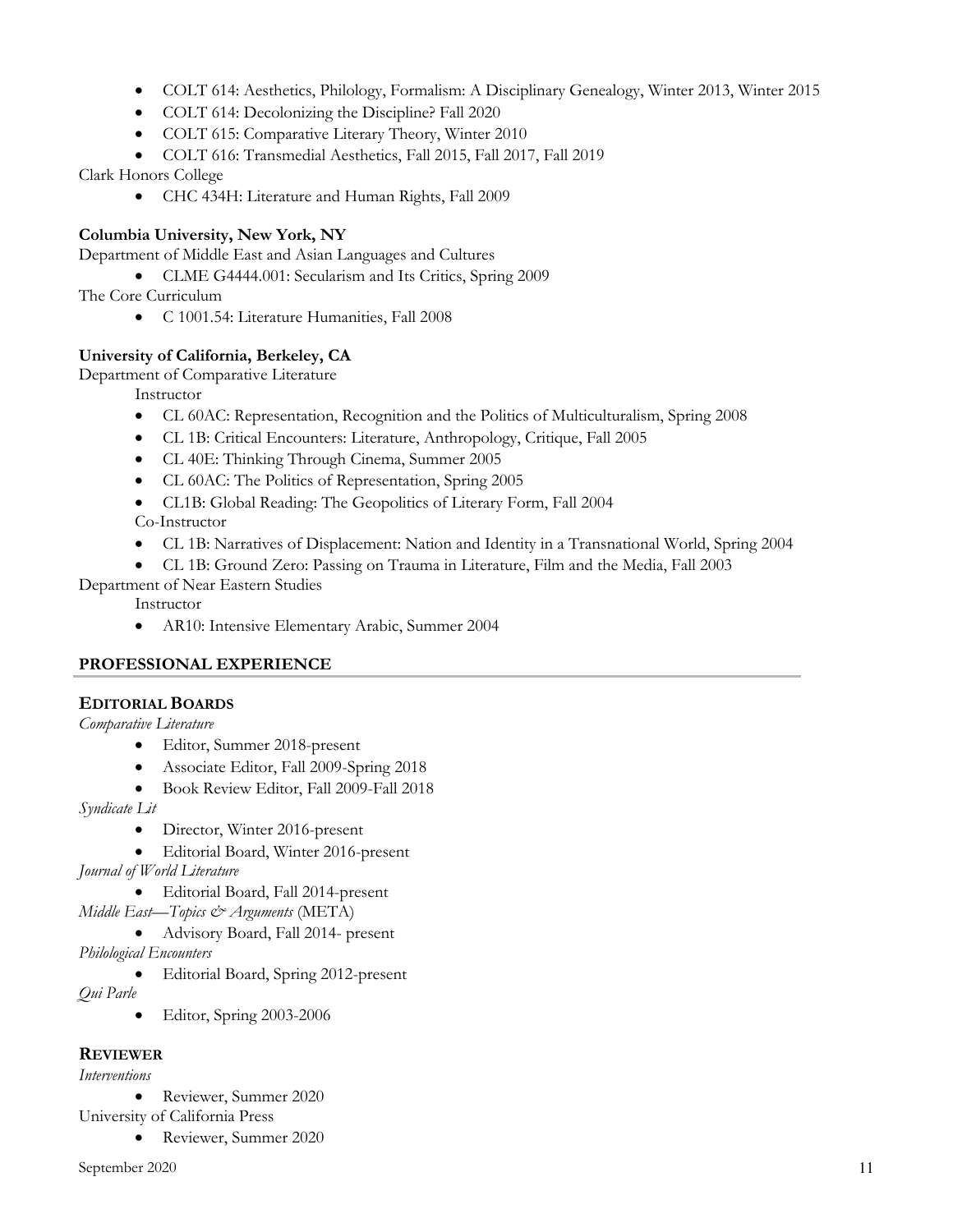- COLT 614: Aesthetics, Philology, Formalism: A Disciplinary Genealogy, Winter 2013, Winter 2015
- COLT 614: Decolonizing the Discipline? Fall 2020
- COLT 615: Comparative Literary Theory, Winter 2010
- COLT 616: Transmedial Aesthetics, Fall 2015, Fall 2017, Fall 2019

Clark Honors College

• CHC 434H: Literature and Human Rights, Fall 2009

# **Columbia University, New York, NY**

Department of Middle East and Asian Languages and Cultures

• CLME G4444.001: Secularism and Its Critics, Spring 2009

The Core Curriculum

• C 1001.54: Literature Humanities, Fall 2008

# **University of California, Berkeley, CA**

Department of Comparative Literature

Instructor

- CL 60AC: Representation, Recognition and the Politics of Multiculturalism, Spring 2008
- CL 1B: Critical Encounters: Literature, Anthropology, Critique, Fall 2005
- CL 40E: Thinking Through Cinema, Summer 2005
- CL 60AC: The Politics of Representation, Spring 2005
- CL1B: Global Reading: The Geopolitics of Literary Form, Fall 2004 Co-Instructor
- CL 1B: Narratives of Displacement: Nation and Identity in a Transnational World, Spring 2004
- CL 1B: Ground Zero: Passing on Trauma in Literature, Film and the Media, Fall 2003
- Department of Near Eastern Studies

Instructor

• AR10: Intensive Elementary Arabic, Summer 2004

# **PROFESSIONAL EXPERIENCE**

# **EDITORIAL BOARDS**

*Comparative Literature*

- Editor, Summer 2018-present
- Associate Editor, Fall 2009-Spring 2018
- Book Review Editor, Fall 2009-Fall 2018

*Syndicate Lit*

- Director, Winter 2016-present
- Editorial Board, Winter 2016-present

*Journal of World Literature*

• Editorial Board, Fall 2014-present

*Middle East—Topics & Arguments* (META)

• Advisory Board, Fall 2014- present

*Philological Encounters*

• Editorial Board, Spring 2012-present

*Qui Parle*

• Editor, Spring 2003-2006

# **REVIEWER**

*Interventions*

• Reviewer, Summer 2020

University of California Press

• Reviewer, Summer 2020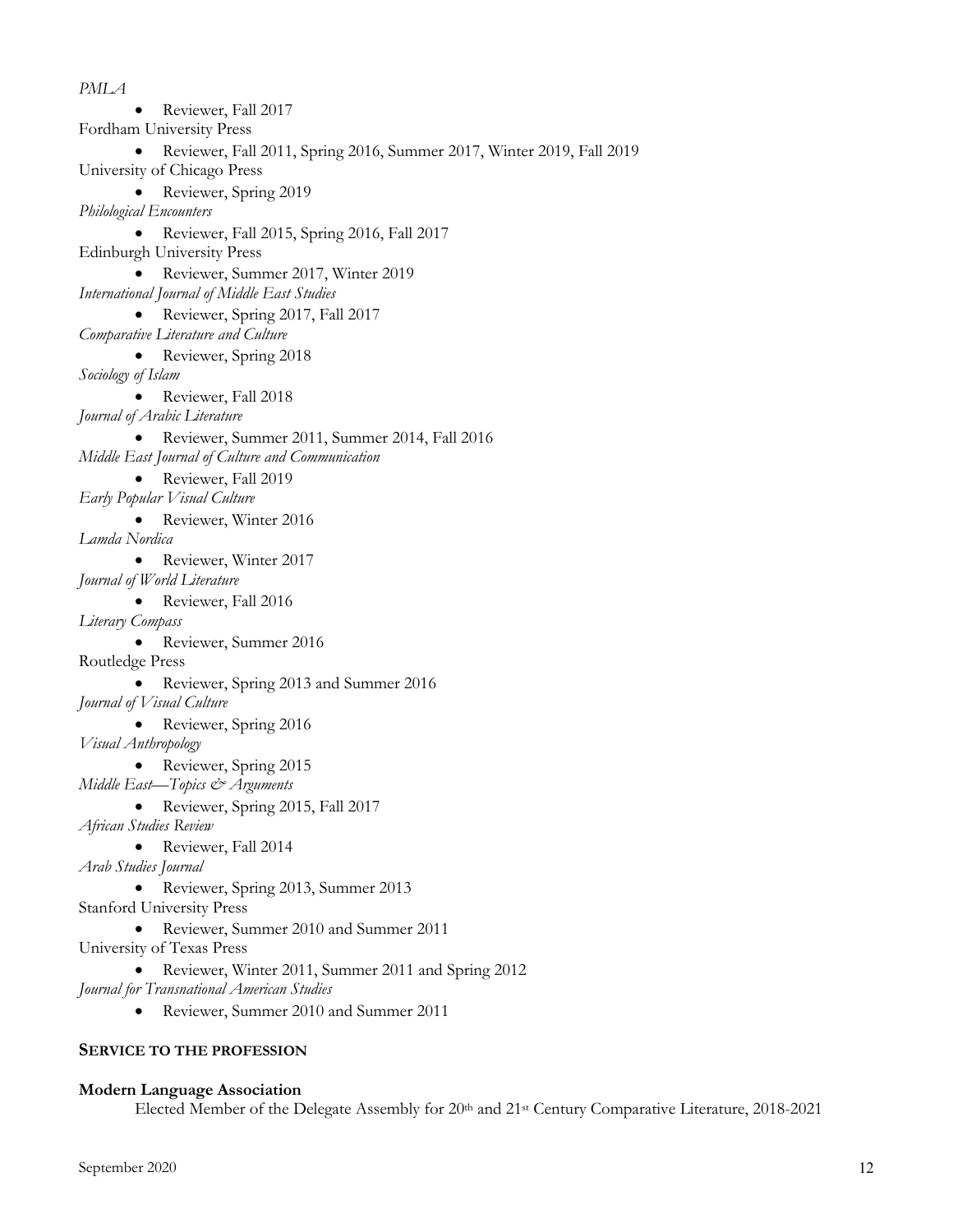*PMLA* • Reviewer, Fall 2017 Fordham University Press • Reviewer, Fall 2011, Spring 2016, Summer 2017, Winter 2019, Fall 2019 University of Chicago Press • Reviewer, Spring 2019 *Philological Encounters* • Reviewer, Fall 2015, Spring 2016, Fall 2017 Edinburgh University Press • Reviewer, Summer 2017, Winter 2019 *International Journal of Middle East Studies* • Reviewer, Spring 2017, Fall 2017 *Comparative Literature and Culture* • Reviewer, Spring 2018 *Sociology of Islam* • Reviewer, Fall 2018 *Journal of Arabic Literature* • Reviewer, Summer 2011, Summer 2014, Fall 2016 *Middle East Journal of Culture and Communication* • Reviewer, Fall 2019 *Early Popular Visual Culture* • Reviewer, Winter 2016 *Lamda Nordica* • Reviewer, Winter 2017 *Journal of World Literature* • Reviewer, Fall 2016 *Literary Compass* • Reviewer, Summer 2016 Routledge Press • Reviewer, Spring 2013 and Summer 2016 *Journal of Visual Culture* • Reviewer, Spring 2016 *Visual Anthropology* • Reviewer, Spring 2015 *Middle East—Topics & Arguments* • Reviewer, Spring 2015, Fall 2017 *African Studies Review* • Reviewer, Fall 2014 *Arab Studies Journal* • Reviewer, Spring 2013, Summer 2013 Stanford University Press • Reviewer, Summer 2010 and Summer 2011 University of Texas Press • Reviewer, Winter 2011, Summer 2011 and Spring 2012 *Journal for Transnational American Studies* • Reviewer, Summer 2010 and Summer 2011

#### **SERVICE TO THE PROFESSION**

#### **Modern Language Association**

Elected Member of the Delegate Assembly for 20th and 21st Century Comparative Literature, 2018-2021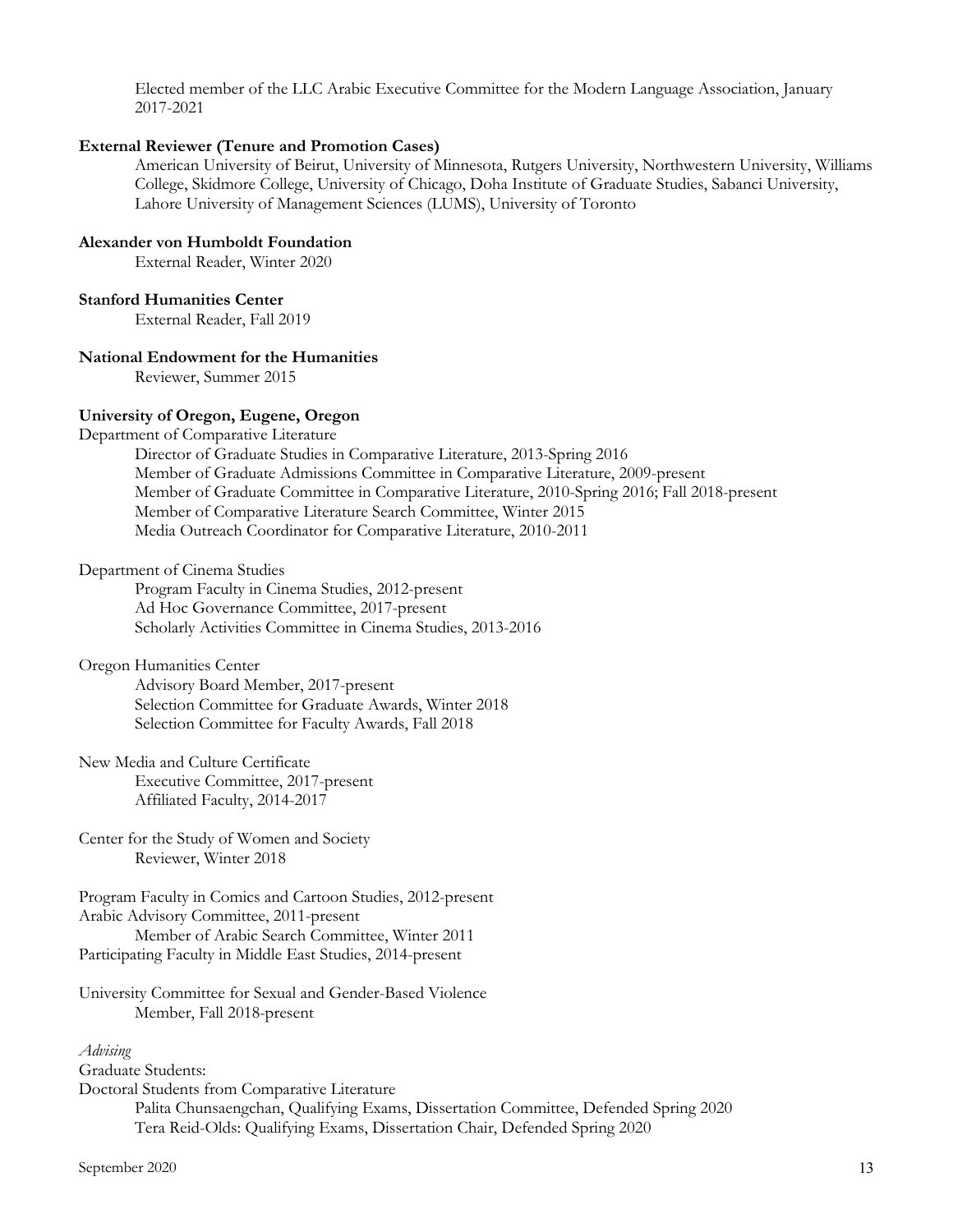Elected member of the LLC Arabic Executive Committee for the Modern Language Association, January 2017-2021

#### **External Reviewer (Tenure and Promotion Cases)**

American University of Beirut, University of Minnesota, Rutgers University, Northwestern University, Williams College, Skidmore College, University of Chicago, Doha Institute of Graduate Studies, Sabanci University, Lahore University of Management Sciences (LUMS), University of Toronto

#### **Alexander von Humboldt Foundation**

External Reader, Winter 2020

#### **Stanford Humanities Center**

External Reader, Fall 2019

## **National Endowment for the Humanities**

Reviewer, Summer 2015

#### **University of Oregon, Eugene, Oregon**

Department of Comparative Literature

Director of Graduate Studies in Comparative Literature, 2013-Spring 2016 Member of Graduate Admissions Committee in Comparative Literature, 2009-present Member of Graduate Committee in Comparative Literature, 2010-Spring 2016; Fall 2018-present Member of Comparative Literature Search Committee, Winter 2015 Media Outreach Coordinator for Comparative Literature, 2010-2011

Department of Cinema Studies

Program Faculty in Cinema Studies, 2012-present Ad Hoc Governance Committee, 2017-present Scholarly Activities Committee in Cinema Studies, 2013-2016

#### Oregon Humanities Center

Advisory Board Member, 2017-present Selection Committee for Graduate Awards, Winter 2018 Selection Committee for Faculty Awards, Fall 2018

New Media and Culture Certificate Executive Committee, 2017-present Affiliated Faculty, 2014-2017

Center for the Study of Women and Society Reviewer, Winter 2018

Program Faculty in Comics and Cartoon Studies, 2012-present Arabic Advisory Committee, 2011-present Member of Arabic Search Committee, Winter 2011 Participating Faculty in Middle East Studies, 2014-present

University Committee for Sexual and Gender-Based Violence Member, Fall 2018-present

#### *Advising*

Graduate Students: Doctoral Students from Comparative Literature Palita Chunsaengchan, Qualifying Exams, Dissertation Committee, Defended Spring 2020 Tera Reid-Olds: Qualifying Exams, Dissertation Chair, Defended Spring 2020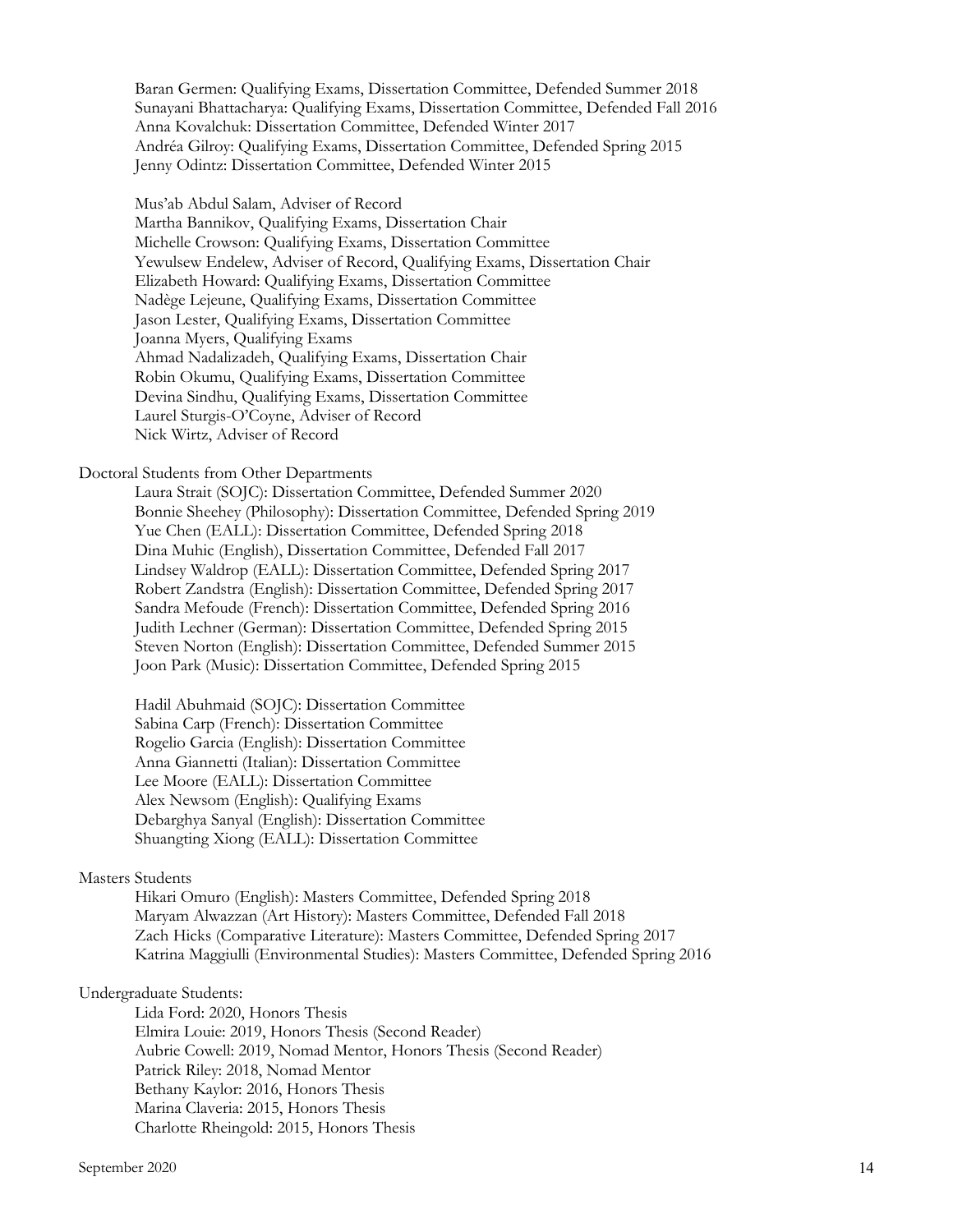Baran Germen: Qualifying Exams, Dissertation Committee, Defended Summer 2018 Sunayani Bhattacharya: Qualifying Exams, Dissertation Committee, Defended Fall 2016 Anna Kovalchuk: Dissertation Committee, Defended Winter 2017 Andréa Gilroy: Qualifying Exams, Dissertation Committee, Defended Spring 2015 Jenny Odintz: Dissertation Committee, Defended Winter 2015

Mus'ab Abdul Salam, Adviser of Record Martha Bannikov, Qualifying Exams, Dissertation Chair Michelle Crowson: Qualifying Exams, Dissertation Committee Yewulsew Endelew, Adviser of Record, Qualifying Exams, Dissertation Chair Elizabeth Howard: Qualifying Exams, Dissertation Committee Nadège Lejeune, Qualifying Exams, Dissertation Committee Jason Lester, Qualifying Exams, Dissertation Committee Joanna Myers, Qualifying Exams Ahmad Nadalizadeh, Qualifying Exams, Dissertation Chair Robin Okumu, Qualifying Exams, Dissertation Committee Devina Sindhu, Qualifying Exams, Dissertation Committee Laurel Sturgis-O'Coyne, Adviser of Record Nick Wirtz, Adviser of Record

#### Doctoral Students from Other Departments

Laura Strait (SOJC): Dissertation Committee, Defended Summer 2020 Bonnie Sheehey (Philosophy): Dissertation Committee, Defended Spring 2019 Yue Chen (EALL): Dissertation Committee, Defended Spring 2018 Dina Muhic (English), Dissertation Committee, Defended Fall 2017 Lindsey Waldrop (EALL): Dissertation Committee, Defended Spring 2017 Robert Zandstra (English): Dissertation Committee, Defended Spring 2017 Sandra Mefoude (French): Dissertation Committee, Defended Spring 2016 Judith Lechner (German): Dissertation Committee, Defended Spring 2015 Steven Norton (English): Dissertation Committee, Defended Summer 2015 Joon Park (Music): Dissertation Committee, Defended Spring 2015

Hadil Abuhmaid (SOJC): Dissertation Committee Sabina Carp (French): Dissertation Committee Rogelio Garcia (English): Dissertation Committee Anna Giannetti (Italian): Dissertation Committee Lee Moore (EALL): Dissertation Committee Alex Newsom (English): Qualifying Exams Debarghya Sanyal (English): Dissertation Committee Shuangting Xiong (EALL): Dissertation Committee

#### Masters Students

Hikari Omuro (English): Masters Committee, Defended Spring 2018 Maryam Alwazzan (Art History): Masters Committee, Defended Fall 2018 Zach Hicks (Comparative Literature): Masters Committee, Defended Spring 2017 Katrina Maggiulli (Environmental Studies): Masters Committee, Defended Spring 2016

#### Undergraduate Students:

Lida Ford: 2020, Honors Thesis Elmira Louie: 2019, Honors Thesis (Second Reader) Aubrie Cowell: 2019, Nomad Mentor, Honors Thesis (Second Reader) Patrick Riley: 2018, Nomad Mentor Bethany Kaylor: 2016, Honors Thesis Marina Claveria: 2015, Honors Thesis Charlotte Rheingold: 2015, Honors Thesis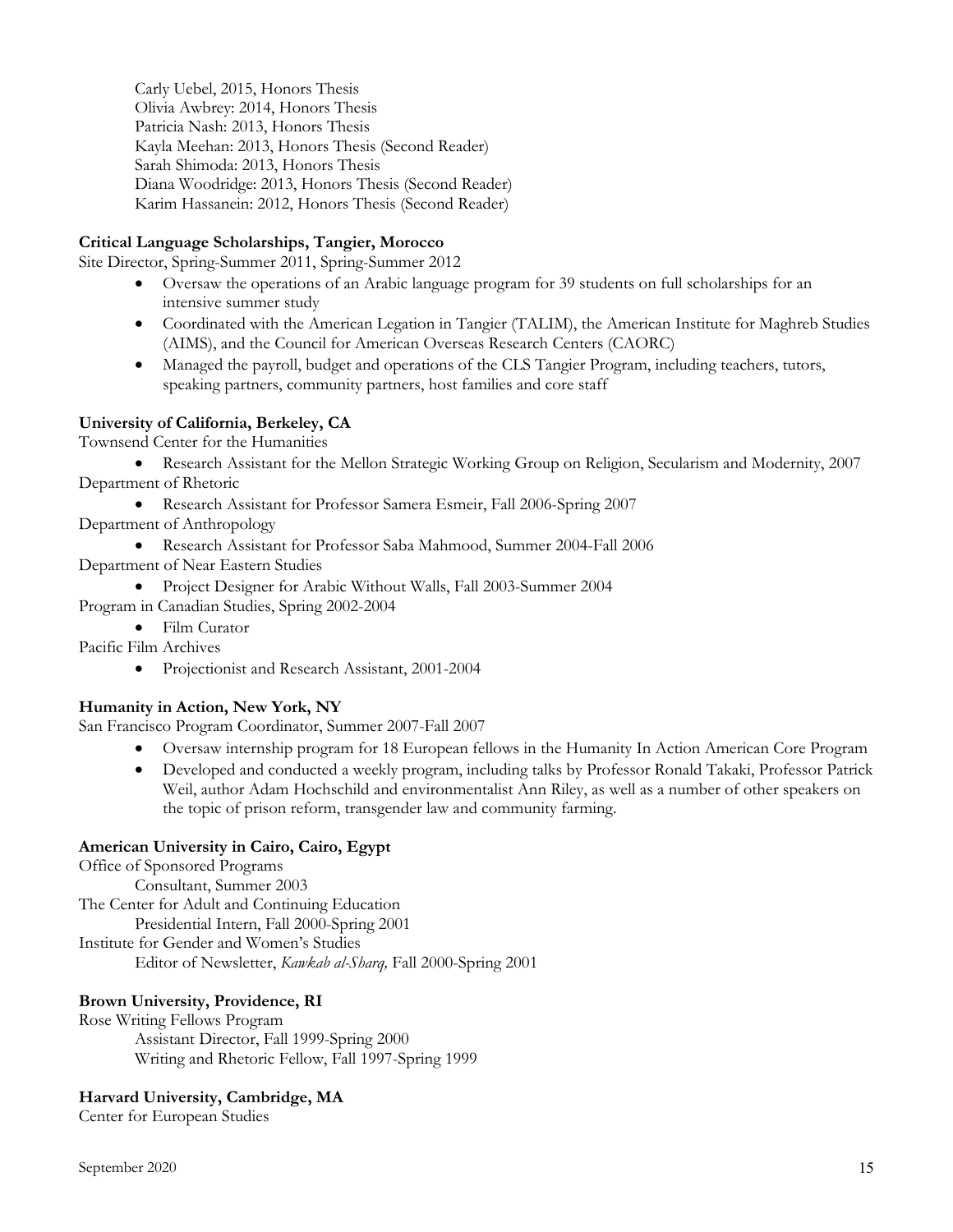Carly Uebel, 2015, Honors Thesis Olivia Awbrey: 2014, Honors Thesis Patricia Nash: 2013, Honors Thesis Kayla Meehan: 2013, Honors Thesis (Second Reader) Sarah Shimoda: 2013, Honors Thesis Diana Woodridge: 2013, Honors Thesis (Second Reader) Karim Hassanein: 2012, Honors Thesis (Second Reader)

## **Critical Language Scholarships, Tangier, Morocco**

Site Director, Spring-Summer 2011, Spring-Summer 2012

- Oversaw the operations of an Arabic language program for 39 students on full scholarships for an intensive summer study
- Coordinated with the American Legation in Tangier (TALIM), the American Institute for Maghreb Studies (AIMS), and the Council for American Overseas Research Centers (CAORC)
- Managed the payroll, budget and operations of the CLS Tangier Program, including teachers, tutors, speaking partners, community partners, host families and core staff

# **University of California, Berkeley, CA**

Townsend Center for the Humanities

- Research Assistant for the Mellon Strategic Working Group on Religion, Secularism and Modernity, 2007 Department of Rhetoric
	- Research Assistant for Professor Samera Esmeir, Fall 2006-Spring 2007

Department of Anthropology

- Research Assistant for Professor Saba Mahmood, Summer 2004-Fall 2006
- Department of Near Eastern Studies
- Project Designer for Arabic Without Walls, Fall 2003-Summer 2004

Program in Canadian Studies, Spring 2002-2004

• Film Curator

Pacific Film Archives

• Projectionist and Research Assistant, 2001-2004

## **Humanity in Action, New York, NY**

San Francisco Program Coordinator, Summer 2007-Fall 2007

- Oversaw internship program for 18 European fellows in the Humanity In Action American Core Program
- Developed and conducted a weekly program, including talks by Professor Ronald Takaki, Professor Patrick Weil, author Adam Hochschild and environmentalist Ann Riley, as well as a number of other speakers on the topic of prison reform, transgender law and community farming.

## **American University in Cairo, Cairo, Egypt**

Office of Sponsored Programs Consultant, Summer 2003 The Center for Adult and Continuing Education Presidential Intern, Fall 2000-Spring 2001 Institute for Gender and Women's Studies Editor of Newsletter, *Kawkab al-Sharq,* Fall 2000-Spring 2001

## **Brown University, Providence, RI**

Rose Writing Fellows Program Assistant Director, Fall 1999-Spring 2000 Writing and Rhetoric Fellow, Fall 1997-Spring 1999

# **Harvard University, Cambridge, MA**

Center for European Studies